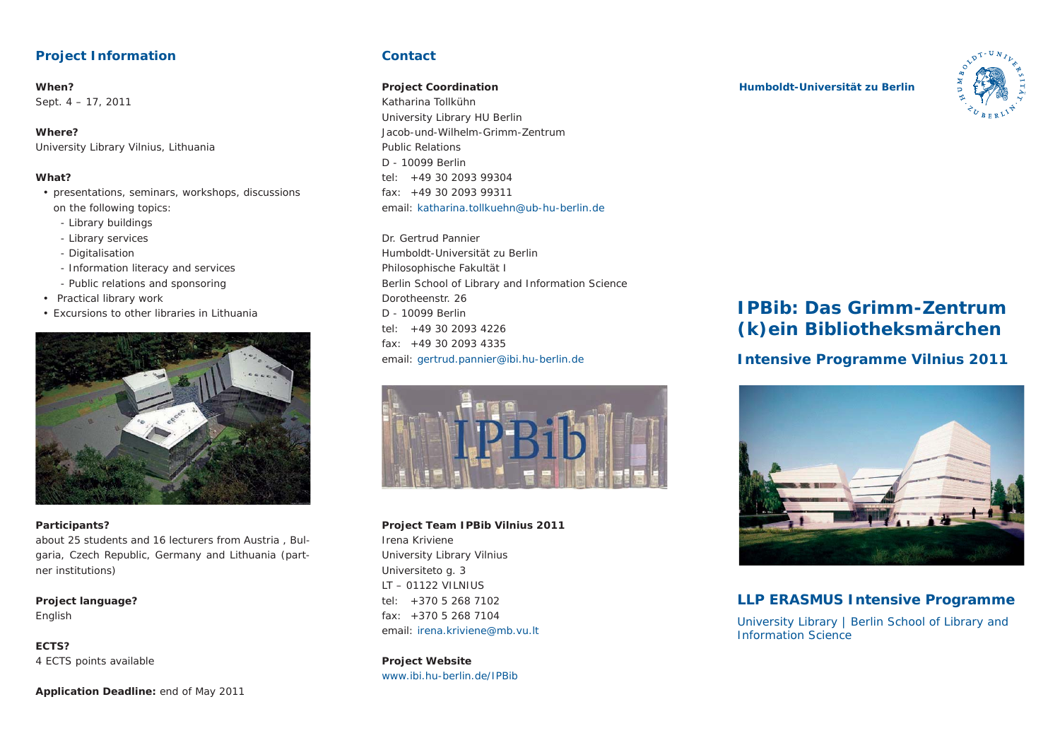## **Project Information**

### **When?**Sept. 4 – 17, 2011

**Where?**University Library Vilnius, Lithuania

### **What?**

- presentations, seminars, workshops, discussions on the following topics:
	- Library buildings
	- Library services
	- Digitalisation
	- Information literacy and services
	- Public relations and sponsoring
- Practical library work
- Excursions to other libraries in Lithuania



### **Participants?**

about 25 students and 16 lecturers from Austria , Bulgaria, Czech Republic, Germany and Lithuania (partner institutions)

**Project language?** English

**ECTS?**4 ECTS points available

**Application Deadline:** end of May 2011

## **Contact**

### **Project Coordination**

Katharina TollkühnUniversity Library HU Berlin Jacob-und-Wilhelm-Grimm-ZentrumPublic RelationsD - 10099 Berlintel: +49 30 2093 99304 $fax: +49.30.2093.99311$ email: katharina.tollkuehn@ub-hu-berlin.de

Dr. Gertrud PannierHumboldt-Universität zu BerlinPhilosophische Fakultät I Berlin School of Library and Information Science Dorotheenstr. 26D - 10099 Berlintel: +49 30 2093 4226 $fax: +49.30.2093.4335$ email: gertrud.pannier@ibi.hu-berlin.de



## **Project Team IPBib Vilnius 2011** Irena KrivieneUniversity Library Vilnius Universiteto g. 3

LT – 01122 VILNIUS $tal: +37052687102$ fax: +370 5 268 7104email: irena.kriviene@mb.vu.lt

## **Project Website** www.jbi.hu-berlin.de/IPBib.

### **Humboldt-Universität zu Berlin**



# **IPBib: Das Grimm-Zentrum (k)ein Bibliotheksmärchen**

# **Intensive Programme Vilnius 2011**



# **LLP ERASMUS Intensive Programme**

University Library | Berlin School of Library and Information Science